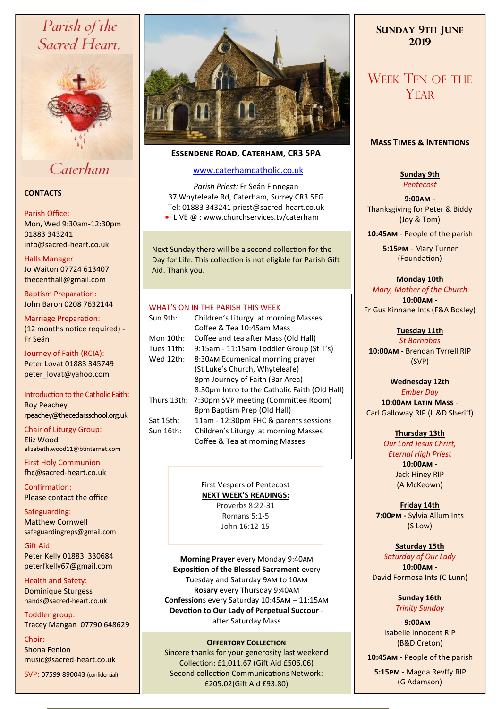# Parish of the Sacred Heart,



# Caterham

## **CONTACTS**

### Parish Office:

Mon, Wed 9:30am-12:30pm 01883 343241 info@sacred-heart.co.uk .

### Halls Manager

Jo Waiton 07724 613407 thecenthall@gmail.com

Baptism Preparation: John Baron 0208 7632144

Marriage Preparation: (12 months notice required) **-** Fr Seán

Journey of Faith (RCIA): Peter Lovat 01883 345749 peter\_lovat@yahoo.com

## Introduction to the Catholic Faith: Roy Peachey rpeachey@thecedarsschool.org.uk

Chair of Liturgy Group: Eliz Wood elizabeth.wood11@btinternet.com

First Holy Communion fhc@sacred-heart.co.uk

Confirmation: Please contact the office

Safeguarding: Matthew Cornwell safeguardingreps@gmail.com

Gift Aid: Peter Kelly 01883 330684 peterfkelly67@gmail.com

Health and Safety: Dominique Sturgess hands@sacred-heart.co.uk

Toddler group: Tracey Mangan 07790 648629

Choir: Shona Fenion music@sacred-heart.co.uk

```
SVP: 07599 890043 (confidential)
```


# **Essendene Road, Caterham, CR3 5PA**

# [www.caterhamcatholic.co.uk](http://Www.caterhamcatholic.co.uk)

*Parish Priest:* Fr Seán Finnegan 37 Whyteleafe Rd, Caterham, Surrey CR3 5EG Tel: 01883 343241 priest@sacred-heart.co.uk ● LIVE @ : www.churchservices.tv/caterham

Next Sunday there will be a second collection for the Day for Life. This collection is not eligible for Parish Gift Aid. Thank you.

# WHAT'S ON IN THE PARISH THIS WEEK.

| Sun 9th:    | Children's Liturgy at morning Masses          |
|-------------|-----------------------------------------------|
|             | Coffee & Tea 10:45am Mass                     |
| Mon 10th:   | Coffee and tea after Mass (Old Hall)          |
| Tues 11th:  | 9:15am - 11:15am Toddler Group (St T's)       |
| Wed 12th:   | 8:30AM Ecumenical morning prayer              |
|             | (St Luke's Church, Whyteleafe)                |
|             | 8pm Journey of Faith (Bar Area)               |
|             | 8:30pm Intro to the Catholic Faith (Old Hall) |
| Thurs 13th: | 7:30pm SVP meeting (Committee Room)           |
|             | 8pm Baptism Prep (Old Hall)                   |
| Sat 15th:   | 11am - 12:30pm FHC & parents sessions         |
| Sun 16th:   | Children's Liturgy at morning Masses          |
|             | Coffee & Tea at morning Masses                |
|             |                                               |

# First Vespers of Pentecost

**NEXT WEEK'S READINGS:**  Proverbs 8:22-31 Romans 5:1-5 John 16:12-15

**Morning Prayer** every Monday 9:40am **Exposition of the Blessed Sacrament** every Tuesday and Saturday 9am to 10am **Rosary** every Thursday 9:40am **Confession**s every Saturday 10:45am – 11:15am **Devotion to Our Lady of Perpetual Succour**  after Saturday Mass

### **OFFERTORY COLLECTION**

Sincere thanks for your generosity last weekend Collection: £1,011.67 (Gift Aid £506.06) Second collection Communications Network: £205.02(Gift Aid £93.80)

# **SUNDAY 9TH JUNE 2019**

# WEEK TEN OF THE **YEAR**

## **Mass Times & Intentions**

**Sunday 9th** *Pentecost*

**9:00am** - Thanksgiving for Peter & Biddy (Joy & Tom)

.**10:45am** - People of the parish

.**5:15pm** - Mary Turner (Foundation)

**Monday 10th**

*Mary, Mother of the Church* **10:00am -**  Fr Gus Kinnane Ints (F&A Bosley)

> **Tuesday 11th** *St Barnabas*

**10:00am** - Brendan Tyrrell RIP (SVP)

**Wednesday 12th** *Ember Day* **10:00am Latin Mass** - Carl Galloway RIP (L &D Sheriff)

**Thursday 13th**

*Our Lord Jesus Christ, Eternal High Priest* **10:00am** - Jack Hiney RIP (A McKeown)

**Friday 14th 7:00pm -** Sylvia Allum Ints (S Low)

**Saturday 15th** *Saturday of Our Lady* **10:00am -**  David Formosa Ints (C Lunn)

> **Sunday 16th** *Trinity Sunday*

**9:00am** - Isabelle Innocent RIP (B&D Creton)

.**10:45am** - People of the parish

.**5:15pm** - Magda Revffy RIP (G Adamson)